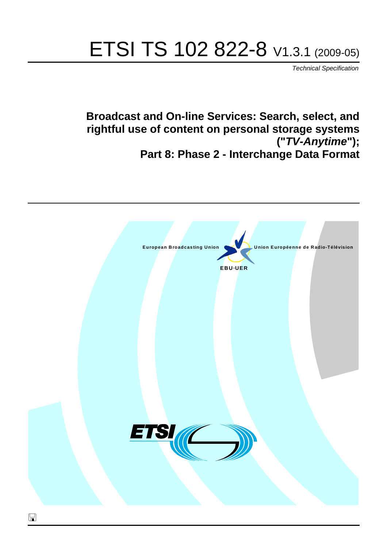# ETSI TS 102 822-8 V1.3.1 (2009-05)

*Technical Specification*

**Broadcast and On-line Services: Search, select, and rightful use of content on personal storage systems ("***TV-Anytime***"); Part 8: Phase 2 - Interchange Data Format**

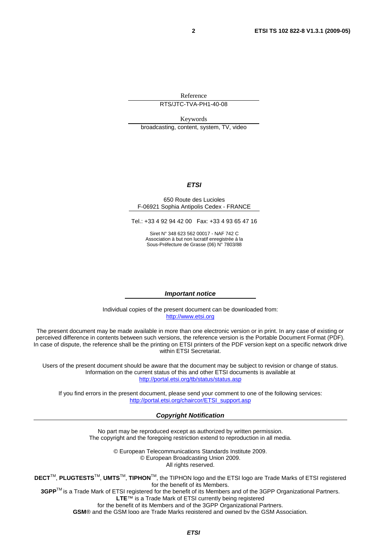Reference

RTS/JTC-TVA-PH1-40-08

Keywords broadcasting, content, system, TV, video

#### *ETSI*

#### 650 Route des Lucioles F-06921 Sophia Antipolis Cedex - FRANCE

Tel.: +33 4 92 94 42 00 Fax: +33 4 93 65 47 16

Siret N° 348 623 562 00017 - NAF 742 C Association à but non lucratif enregistrée à la Sous-Préfecture de Grasse (06) N° 7803/88

#### *Important notice*

Individual copies of the present document can be downloaded from: [http://www.etsi.org](http://www.etsi.org/)

The present document may be made available in more than one electronic version or in print. In any case of existing or perceived difference in contents between such versions, the reference version is the Portable Document Format (PDF). In case of dispute, the reference shall be the printing on ETSI printers of the PDF version kept on a specific network drive within ETSI Secretariat.

Users of the present document should be aware that the document may be subject to revision or change of status. Information on the current status of this and other ETSI documents is available at <http://portal.etsi.org/tb/status/status.asp>

If you find errors in the present document, please send your comment to one of the following services: [http://portal.etsi.org/chaircor/ETSI\\_support.asp](http://portal.etsi.org/chaircor/ETSI_support.asp)

#### *Copyright Notification*

No part may be reproduced except as authorized by written permission. The copyright and the foregoing restriction extend to reproduction in all media.

> © European Telecommunications Standards Institute 2009. © European Broadcasting Union 2009. All rights reserved.

**DECT**TM, **PLUGTESTS**TM, **UMTS**TM, **TIPHON**TM, the TIPHON logo and the ETSI logo are Trade Marks of ETSI registered for the benefit of its Members. **3GPP**TM is a Trade Mark of ETSI registered for the benefit of its Members and of the 3GPP Organizational Partners.

**LTE**™ is a Trade Mark of ETSI currently being registered

for the benefit of its Members and of the 3GPP Organizational Partners.

**GSM**® and the GSM logo are Trade Marks registered and owned by the GSM Association.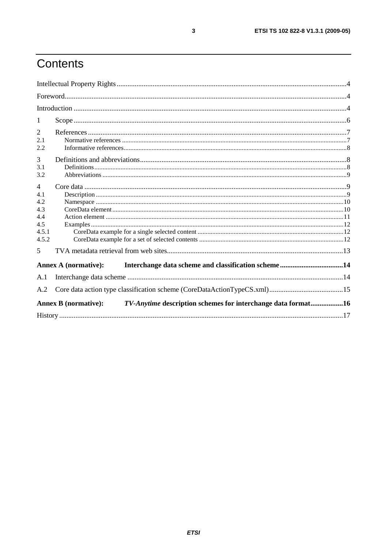# Contents

| 1              |                                                                                             |  |
|----------------|---------------------------------------------------------------------------------------------|--|
| 2              |                                                                                             |  |
| 2.1            |                                                                                             |  |
| 2.2            |                                                                                             |  |
| 3              |                                                                                             |  |
| 3.1            |                                                                                             |  |
| 3.2            |                                                                                             |  |
| $\overline{4}$ |                                                                                             |  |
| 4.1            |                                                                                             |  |
| 4.2            |                                                                                             |  |
| 4.3            |                                                                                             |  |
| 4.4            |                                                                                             |  |
| 4.5            |                                                                                             |  |
| 4.5.1          |                                                                                             |  |
| 4.5.2          |                                                                                             |  |
| 5              |                                                                                             |  |
|                | Annex A (normative):                                                                        |  |
| A.1            |                                                                                             |  |
| A.2            |                                                                                             |  |
|                | TV-Anytime description schemes for interchange data format16<br><b>Annex B</b> (normative): |  |
|                |                                                                                             |  |
|                |                                                                                             |  |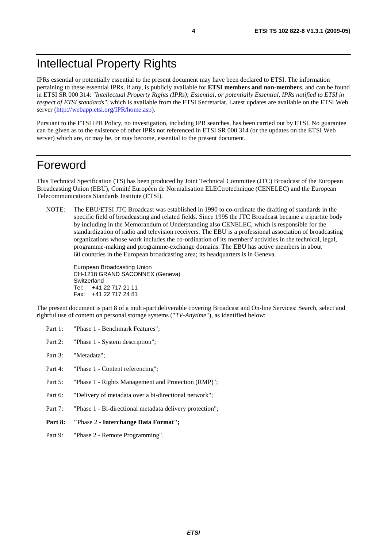# Intellectual Property Rights

IPRs essential or potentially essential to the present document may have been declared to ETSI. The information pertaining to these essential IPRs, if any, is publicly available for **ETSI members and non-members**, and can be found in ETSI SR 000 314: *"Intellectual Property Rights (IPRs); Essential, or potentially Essential, IPRs notified to ETSI in respect of ETSI standards"*, which is available from the ETSI Secretariat. Latest updates are available on the ETSI Web server [\(http://webapp.etsi.org/IPR/home.asp\)](http://webapp.etsi.org/IPR/home.asp).

Pursuant to the ETSI IPR Policy, no investigation, including IPR searches, has been carried out by ETSI. No guarantee can be given as to the existence of other IPRs not referenced in ETSI SR 000 314 (or the updates on the ETSI Web server) which are, or may be, or may become, essential to the present document.

## Foreword

This Technical Specification (TS) has been produced by Joint Technical Committee (JTC) Broadcast of the European Broadcasting Union (EBU), Comité Européen de Normalisation ELECtrotechnique (CENELEC) and the European Telecommunications Standards Institute (ETSI).

NOTE: The EBU/ETSI JTC Broadcast was established in 1990 to co-ordinate the drafting of standards in the specific field of broadcasting and related fields. Since 1995 the JTC Broadcast became a tripartite body by including in the Memorandum of Understanding also CENELEC, which is responsible for the standardization of radio and television receivers. The EBU is a professional association of broadcasting organizations whose work includes the co-ordination of its members' activities in the technical, legal, programme-making and programme-exchange domains. The EBU has active members in about 60 countries in the European broadcasting area; its headquarters is in Geneva.

European Broadcasting Union CH-1218 GRAND SACONNEX (Geneva) Switzerland Tel: +41 22 717 21 11 Fax: +41 22 717 24 81

The present document is part 8 of a multi-part deliverable covering Broadcast and On-line Services: Search, select and rightful use of content on personal storage systems ("*TV-Anytime*"), as identified below:

- Part 1: "Phase 1 Benchmark Features":
- Part 2: "Phase 1 System description";
- Part 3: "Metadata";
- Part 4: "Phase 1 Content referencing":
- Part 5: "Phase 1 Rights Management and Protection (RMP)";
- Part 6: "Delivery of metadata over a bi-directional network";
- Part 7: "Phase 1 Bi-directional metadata delivery protection";
- **Part 8: "**Phase 2 **Interchange Data Format";**
- Part 9: "Phase 2 Remote Programming".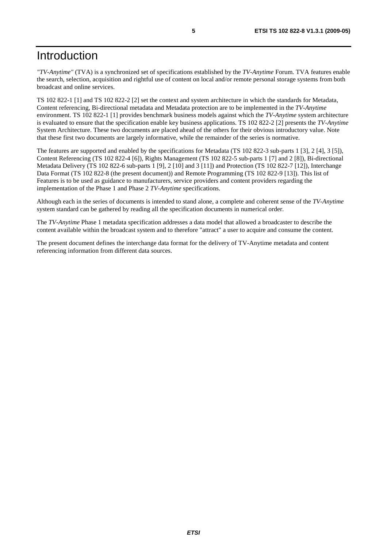# Introduction

*"TV-Anytime"* (TVA) is a synchronized set of specifications established by the *TV-Anytime* Forum. TVA features enable the search, selection, acquisition and rightful use of content on local and/or remote personal storage systems from both broadcast and online services.

TS 102 822-1 [1] and TS 102 822-2 [2] set the context and system architecture in which the standards for Metadata, Content referencing, Bi-directional metadata and Metadata protection are to be implemented in the *TV-Anytime* environment. TS 102 822-1 [1] provides benchmark business models against which the *TV-Anytime* system architecture is evaluated to ensure that the specification enable key business applications. TS 102 822-2 [2] presents the *TV-Anytime* System Architecture. These two documents are placed ahead of the others for their obvious introductory value. Note that these first two documents are largely informative, while the remainder of the series is normative.

The features are supported and enabled by the specifications for Metadata (TS 102 822-3 sub-parts 1 [3], 2 [4], 3 [5]), Content Referencing (TS 102 822-4 [6]), Rights Management (TS 102 822-5 sub-parts 1 [7] and 2 [8]), Bi-directional Metadata Delivery (TS 102 822-6 sub-parts 1 [9], 2 [10] and 3 [11]) and Protection (TS 102 822-7 [12]), Interchange Data Format (TS 102 822-8 (the present document)) and Remote Programming (TS 102 822-9 [13]). This list of Features is to be used as guidance to manufacturers, service providers and content providers regarding the implementation of the Phase 1 and Phase 2 *TV-Anytime* specifications.

Although each in the series of documents is intended to stand alone, a complete and coherent sense of the *TV-Anytime* system standard can be gathered by reading all the specification documents in numerical order.

The *TV-Anytime* Phase 1 metadata specification addresses a data model that allowed a broadcaster to describe the content available within the broadcast system and to therefore "attract" a user to acquire and consume the content.

The present document defines the interchange data format for the delivery of TV-Anytime metadata and content referencing information from different data sources.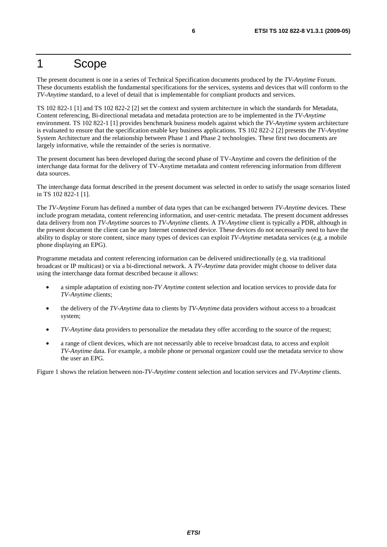## 1 Scope

The present document is one in a series of Technical Specification documents produced by the *TV-Anytime* Forum. These documents establish the fundamental specifications for the services, systems and devices that will conform to the *TV-Anytime* standard, to a level of detail that is implementable for compliant products and services.

TS 102 822-1 [1] and TS 102 822-2 [2] set the context and system architecture in which the standards for Metadata, Content referencing, Bi-directional metadata and metadata protection are to be implemented in the *TV-Anytime* environment. TS 102 822-1 [1] provides benchmark business models against which the *TV-Anytime* system architecture is evaluated to ensure that the specification enable key business applications. TS 102 822-2 [2] presents the *TV-Anytime* System Architecture and the relationship between Phase 1 and Phase 2 technologies. These first two documents are largely informative, while the remainder of the series is normative.

The present document has been developed during the second phase of TV-Anytime and covers the definition of the interchange data format for the delivery of TV-Anytime metadata and content referencing information from different data sources.

The interchange data format described in the present document was selected in order to satisfy the usage scenarios listed in TS 102 822-1 [1].

The *TV-Anytime* Forum has defined a number of data types that can be exchanged between *TV-Anytime* devices. These include program metadata, content referencing information, and user-centric metadata. The present document addresses data delivery from non *TV-Anytime* sources to *TV-Anytime* clients. A *TV-Anytime* client is typically a PDR, although in the present document the client can be any Internet connected device. These devices do not necessarily need to have the ability to display or store content, since many types of devices can exploit *TV-Anytime* metadata services (e.g. a mobile phone displaying an EPG).

Programme metadata and content referencing information can be delivered unidirectionally (e.g. via traditional broadcast or IP multicast) or via a bi-directional network. A *TV-Anytime* data provider might choose to deliver data using the interchange data format described because it allows:

- a simple adaptation of existing non-*TV Anytime* content selection and location services to provide data for *TV-Anytime* clients;
- the delivery of the *TV-Anytime* data to clients by *TV-Anytime* data providers without access to a broadcast system;
- *TV-Anytime* data providers to personalize the metadata they offer according to the source of the request;
- a range of client devices, which are not necessarily able to receive broadcast data, to access and exploit *TV-Anytime* data. For example, a mobile phone or personal organizer could use the metadata service to show the user an EPG.

Figure 1 shows the relation between non-*TV-Anytime* content selection and location services and *TV-Anytime* clients.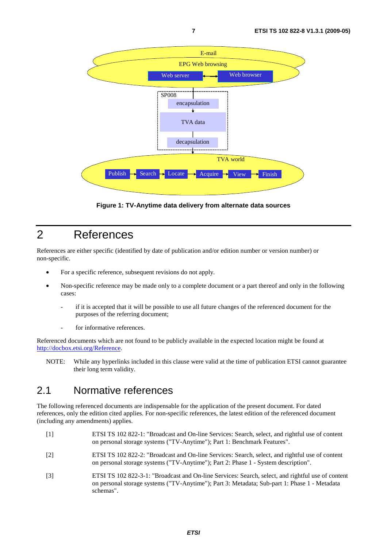

**Figure 1: TV-Anytime data delivery from alternate data sources** 

# 2 References

References are either specific (identified by date of publication and/or edition number or version number) or non-specific.

- For a specific reference, subsequent revisions do not apply.
- Non-specific reference may be made only to a complete document or a part thereof and only in the following cases:
	- if it is accepted that it will be possible to use all future changes of the referenced document for the purposes of the referring document;
	- for informative references.

Referenced documents which are not found to be publicly available in the expected location might be found at [http://docbox.etsi.org/Reference.](http://docbox.etsi.org/Reference)

NOTE: While any hyperlinks included in this clause were valid at the time of publication ETSI cannot guarantee their long term validity.

#### 2.1 Normative references

The following referenced documents are indispensable for the application of the present document. For dated references, only the edition cited applies. For non-specific references, the latest edition of the referenced document (including any amendments) applies.

- [1] ETSI TS 102 822-1: "Broadcast and On-line Services: Search, select, and rightful use of content on personal storage systems ("TV-Anytime"); Part 1: Benchmark Features".
- [2] ETSI TS 102 822-2: "Broadcast and On-line Services: Search, select, and rightful use of content on personal storage systems ("TV-Anytime"); Part 2: Phase 1 - System description".
- [3] ETSI TS 102 822-3-1: "Broadcast and On-line Services: Search, select, and rightful use of content on personal storage systems ("TV-Anytime"); Part 3: Metadata; Sub-part 1: Phase 1 - Metadata schemas".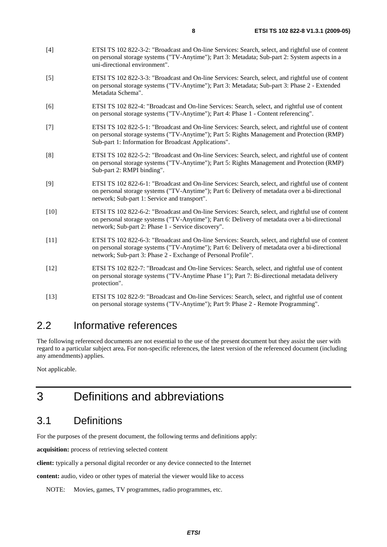- [4] ETSI TS 102 822-3-2: "Broadcast and On-line Services: Search, select, and rightful use of content on personal storage systems ("TV-Anytime"); Part 3: Metadata; Sub-part 2: System aspects in a uni-directional environment".
- [5] ETSI TS 102 822-3-3: "Broadcast and On-line Services: Search, select, and rightful use of content on personal storage systems ("TV-Anytime"); Part 3: Metadata; Sub-part 3: Phase 2 - Extended Metadata Schema".
- [6] ETSI TS 102 822-4: "Broadcast and On-line Services: Search, select, and rightful use of content on personal storage systems ("TV-Anytime"); Part 4: Phase 1 - Content referencing".
- [7] ETSI TS 102 822-5-1: "Broadcast and On-line Services: Search, select, and rightful use of content on personal storage systems ("TV-Anytime"); Part 5: Rights Management and Protection (RMP) Sub-part 1: Information for Broadcast Applications".
- [8] ETSI TS 102 822-5-2: "Broadcast and On-line Services: Search, select, and rightful use of content on personal storage systems ("TV-Anytime"); Part 5: Rights Management and Protection (RMP) Sub-part 2: RMPI binding".
- [9] ETSI TS 102 822-6-1: "Broadcast and On-line Services: Search, select, and rightful use of content on personal storage systems ("TV-Anytime"); Part 6: Delivery of metadata over a bi-directional network; Sub-part 1: Service and transport".
- [10] ETSI TS 102 822-6-2: "Broadcast and On-line Services: Search, select, and rightful use of content on personal storage systems ("TV-Anytime"); Part 6: Delivery of metadata over a bi-directional network; Sub-part 2: Phase 1 - Service discovery".
- [11] ETSI TS 102 822-6-3: "Broadcast and On-line Services: Search, select, and rightful use of content on personal storage systems ("TV-Anytime"); Part 6: Delivery of metadata over a bi-directional network; Sub-part 3: Phase 2 - Exchange of Personal Profile".
- [12] ETSI TS 102 822-7: "Broadcast and On-line Services: Search, select, and rightful use of content on personal storage systems ("TV-Anytime Phase 1"); Part 7: Bi-directional metadata delivery protection".
- [13] ETSI TS 102 822-9: "Broadcast and On-line Services: Search, select, and rightful use of content on personal storage systems ("TV-Anytime"); Part 9: Phase 2 - Remote Programming".

### 2.2 Informative references

The following referenced documents are not essential to the use of the present document but they assist the user with regard to a particular subject area**.** For non-specific references, the latest version of the referenced document (including any amendments) applies.

Not applicable.

# 3 Definitions and abbreviations

# 3.1 Definitions

For the purposes of the present document, the following terms and definitions apply:

**acquisition:** process of retrieving selected content

**client:** typically a personal digital recorder or any device connected to the Internet

**content:** audio, video or other types of material the viewer would like to access

NOTE: Movies, games, TV programmes, radio programmes, etc.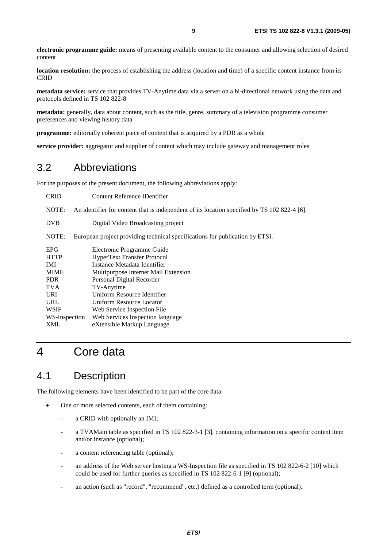**electronic programme guide:** means of presenting available content to the consumer and allowing selection of desired content

**location resolution:** the process of establishing the address (location and time) of a specific content instance from its CRID

**metadata service:** service that provides TV-Anytime data via a server on a bi-directional network using the data and protocols defined in TS 102 822-8

**metadata:** generally, data about content, such as the title, genre, summary of a television programme consumer preferences and viewing history data

**programme:** editorially coherent piece of content that is acquired by a PDR as a whole

**service provider:** aggregator and supplier of content which may include gateway and management roles

#### 3.2 Abbreviations

For the purposes of the present document, the following abbreviations apply:

| <b>CRID</b>   | Content Reference IDentifier                                                                 |  |  |
|---------------|----------------------------------------------------------------------------------------------|--|--|
| NOTE:         | An identifier for content that is independent of its location specified by TS 102 822-4 [6]. |  |  |
| <b>DVB</b>    | Digital Video Broadcasting project                                                           |  |  |
| NOTE:         | European project providing technical specifications for publication by ETSI.                 |  |  |
| <b>EPG</b>    | Electronic Programme Guide                                                                   |  |  |
| <b>HTTP</b>   | <b>HyperText Transfer Protocol</b>                                                           |  |  |
| IMI           | Instance Metadata Identifier                                                                 |  |  |
| <b>MIME</b>   | Multipurpose Internet Mail Extension                                                         |  |  |
| <b>PDR</b>    | Personal Digital Recorder                                                                    |  |  |
| <b>TVA</b>    | TV-Anytime                                                                                   |  |  |
| URI.          | Uniform Resource Identifier                                                                  |  |  |
| <b>URL</b>    | Uniform Resource Locator                                                                     |  |  |
| <b>WSIF</b>   | Web Service Inspection File                                                                  |  |  |
| WS-Inspection | Web Services Inspection language                                                             |  |  |
| XML           | eXtensible Markup Language                                                                   |  |  |

# 4 Core data

### 4.1 Description

The following elements have been identified to be part of the core data:

- One or more selected contents, each of them containing:
	- a CRID with optionally an IMI;
	- a TVAMain table as specified in TS 102 822-3-1 [3], containing information on a specific content item and/or instance (optional);
	- a content referencing table (optional);
	- an address of the Web server hosting a WS-Inspection file as specified in TS 102 822-6-2 [10] which could be used for further queries as specified in TS 102 822-6-1 [9] (optional);
	- an action (such as "record", "recommend", etc.) defined as a controlled term (optional).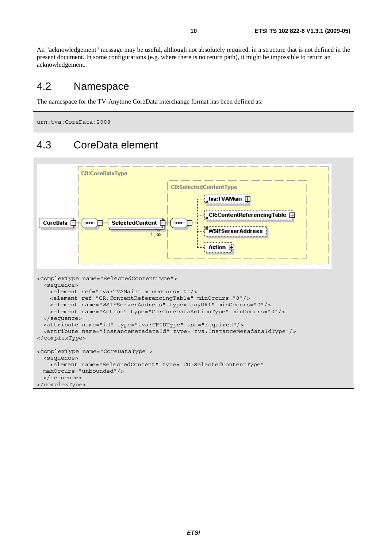An "acknowledgement" message may be useful, although not absolutely required, in a structure that is not defined in the present document. In some configurations (e.g. where there is no return path), it might be impossible to return an acknowledgement.

#### 4.2 Namespace

The namespace for the TV-Anytime CoreData interchange format has been defined as:

urn:tva:CoreData:2008

### 4.3 CoreData element

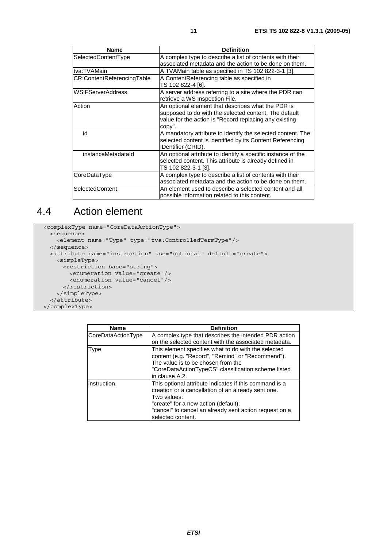| <b>Name</b>                | <b>Definition</b>                                                                                                                              |
|----------------------------|------------------------------------------------------------------------------------------------------------------------------------------------|
| SelectedContentType        | A complex type to describe a list of contents with their                                                                                       |
|                            | associated metadata and the action to be done on them.                                                                                         |
| tva:TVAMain                | A TVAMain table as specified in TS 102 822-3-1 [3].                                                                                            |
| CR:ContentReferencingTable | A ContentReferencing table as specified in                                                                                                     |
|                            | TS 102 822-4 [6].                                                                                                                              |
| WSIFServerAddress          | A server address referring to a site where the PDR can<br>retrieve a WS Inspection File.                                                       |
| Action                     | An optional element that describes what the PDR is                                                                                             |
|                            | supposed to do with the selected content. The default                                                                                          |
|                            | value for the action is "Record replacing any existing                                                                                         |
|                            | copy".                                                                                                                                         |
| id                         | A mandatory attribute to identify the selected content. The<br>selected content is identified by its Content Referencing<br>IDentifier (CRID). |
| instanceMetadataId         | An optional attribute to identify a specific instance of the                                                                                   |
|                            | selected content. This attribute is already defined in                                                                                         |
|                            | TS 102 822-3-1 [3].                                                                                                                            |
| CoreDataType               | A complex type to describe a list of contents with their                                                                                       |
|                            | associated metadata and the action to be done on them.                                                                                         |
| SelectedContent            | An element used to describe a selected content and all<br>possible information related to this content.                                        |

# 4.4 Action element

```
 <complexType name="CoreDataActionType"> 
  <sequence> 
    <element name="Type" type="tva:ControlledTermType"/> 
  </sequence> 
  <attribute name="instruction" use="optional" default="create"> 
    <simpleType> 
      <restriction base="string"> 
        <enumeration value="create"/> 
         <enumeration value="cancel"/> 
      </restriction> 
    </simpleType> 
  </attribute> 
 </complexType>
```

| <b>Name</b>        | <b>Definition</b>                                                                                                                                                                                                                                  |
|--------------------|----------------------------------------------------------------------------------------------------------------------------------------------------------------------------------------------------------------------------------------------------|
| CoreDataActionType | A complex type that describes the intended PDR action<br>on the selected content with the associated metadata.                                                                                                                                     |
| Type               | This element specifies what to do with the selected<br>content (e.g. "Record", "Remind" or "Recommend").<br>The value is to be chosen from the<br>"CoreDataActionTypeCS" classification scheme listed<br>in clause A.2.                            |
| instruction        | This optional attribute indicates if this command is a<br>creation or a cancellation of an already sent one.<br>Two values:<br>"create" for a new action (default);<br>"cancel" to cancel an already sent action request on a<br>selected content. |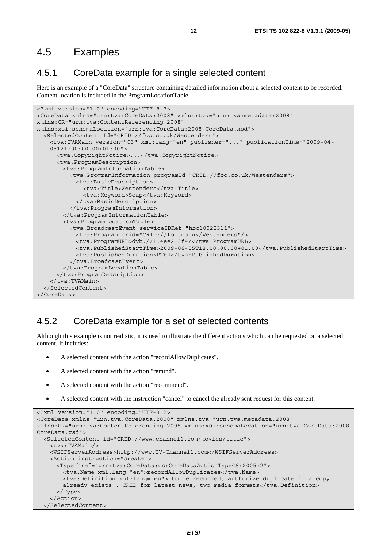#### 4.5 Examples

#### 4.5.1 CoreData example for a single selected content

Here is an example of a "CoreData" structure containing detailed information about a selected content to be recorded. Content location is included in the ProgramLocationTable.

```
<?xml version="1.0" encoding="UTF-8"?> 
<CoreData xmlns="urn:tva:CoreData:2008" xmlns:tva="urn:tva:metadata:2008" 
xmlns:CR="urn:tva:ContentReferencing:2008" 
xmlns:xsi:schemaLocation="urn:tva:CoreData:2008 CoreData.xsd"> 
 <SelectedContent Id="CRID://foo.co.uk/Westenders"> 
 <tva:TVAMain version="03" xml:lang="en" publisher="..." publicationTime="2009-04- 
     05T21:00:00.00+01:00"> 
      <tva:CopyrightNotice>...</tva:CopyrightNotice> 
       <tva:ProgramDescription> 
        <tva:ProgramInformationTable> 
          <tva:ProgramInformation programId="CRID://foo.co.uk/Westenders"> 
            <tva:BasicDescription> 
              <tva:Title>Westenders</tva:Title>
              <tva:Keyword>Soap</tva:Keyword> 
            </tva:BasicDescription> 
          </tva:ProgramInformation> 
        </tva:ProgramInformationTable> 
         <tva:ProgramLocationTable> 
          <tva:BroadcastEvent serviceIDRef="hbc10022311"> 
            <tva:Program crid="CRID://foo.co.uk/Westenders"/> 
            <tva:ProgramURL>dvb://1.4ee2.3f4/</tva:ProgramURL> 
            <tva:PublishedStartTime>2009-06-05T18:00:00.00+01:00</tva:PublishedStartTime> 
             <tva:PublishedDuration>PT6H</tva:PublishedDuration> 
          </tva:BroadcastEvent> 
        </tva:ProgramLocationTable> 
       </tva:ProgramDescription> 
     </tva:TVAMain> 
   </SelectedContent> 
</CoreData>
```
#### 4.5.2 CoreData example for a set of selected contents

Although this example is not realistic, it is used to illustrate the different actions which can be requested on a selected content. It includes:

- A selected content with the action "recordAllowDuplicates".
- A selected content with the action "remind".
- A selected content with the action "recommend".
- A selected content with the instruction "cancel" to cancel the already sent request for this content.

```
<?xml version="1.0" encoding="UTF-8"?> 
<CoreData xmlns="urn:tva:CoreData:2008" xmlns:tva="urn:tva:metadata:2008" 
xmlns:CR="urn:tva:ContentReferencing:2008 xmlns:xsi:schemaLocation="urn:tva:CoreData:2008 
CoreData.xsd"> 
   <SelectedContent id="CRID://www.channel1.com/movies/title"> 
    <tva:TVAMain/> 
    <WSIFServerAddress>http://www.TV-Channel1.com</WSIFServerAddress> 
    <Action instruction="create"> 
      <Type href="urn:tva:CoreData:cs:CoreDataActionTypeCS:2005:2"> 
        <tva:Name xml:lang="en">recordAllowDuplicates</tva:Name> 
        <tva:Definition xml:lang="en"> to be recorded, authorize duplicate if a copy 
       already exists : CRID for latest news, two media formats</tva:Definition>
      </Type> 
    </Action> 
   </SelectedContent>
```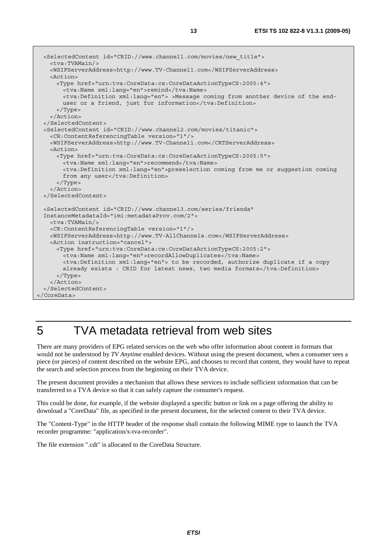<SelectedContent id="CRID://www.channel1.com/movies/new\_title"> <tva:TVAMain/> <WSIFServerAddress>http://www.TV-Channel1.com</WSIFServerAddress> <Action> <Type href="urn:tva:CoreData:cs:CoreDataActionTypeCS:2005:4"> <tva:Name xml:lang="en">remind</tva:Name> <tva:Definition xml:lang="en"> >Message coming from another device of the end user or a friend, just for information</tva:Definition> </Type> </Action> </SelectedContent> <SelectedContent id="CRID://www.channel2.com/movies/titanic"> <CR:ContentReferencingTable version="1"/> <WSIFServerAddress>http://www.TV-Channel1.com</CRTServerAddress> <Action> <Type href="urn:tva:CoreData:cs:CoreDataActionTypeCS:2005:5"> <tva:Name xml:lang="en">recommend</tva:Name> <tva:Definition xml:lang="en">preselection coming from me or suggestion coming from any user</tva:Definition> </Type> </Action> </SelectedContent> <SelectedContent id="CRID://www.channel3.com/series/friends" InstanceMetadataId="imi:metadataProv.com/2"> <tva:TVAMain/> <CR:ContentReferencingTable version="1"/> <WSIFServerAddress>http://www.TV-AllChannels.com</WSIFServerAddress> <Action instruction="cancel"> <Type href="urn:tva:CoreData:cs:CoreDataActionTypeCS:2005:2"> <tva:Name xml:lang="en">recordAllowDuplicates</tva:Name> <tva:Definition xml:lang="en"> to be recorded, authorize duplicate if a copy already exists : CRID for latest news, two media formats</tva:Definition> </Type> </Action> </SelectedContent> </CoreData>

# 5 TVA metadata retrieval from web sites

There are many providers of EPG related services on the web who offer information about content in formats that would not be understood by *TV Anytime* enabled devices. Without using the present document, when a consumer sees a piece (or pieces) of content described on the website EPG, and chooses to record that content, they would have to repeat the search and selection process from the beginning on their TVA device.

The present document provides a mechanism that allows these services to include sufficient information that can be transferred to a TVA device so that it can safely capture the consumer's request.

This could be done, for example, if the website displayed a specific button or link on a page offering the ability to download a "CoreData" file, as specified in the present document, for the selected content to their TVA device.

The "Content-Type" in the HTTP header of the response shall contain the following MIME type to launch the TVA recorder programme: "application/x-tva-recorder".

The file extension ".cdt" is allocated to the CoreData Structure.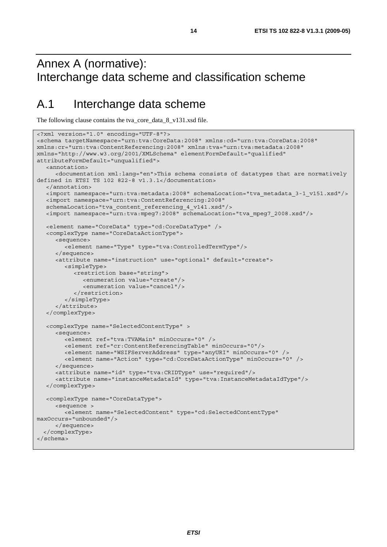# Annex A (normative): Interchange data scheme and classification scheme

# A.1 Interchange data scheme

The following clause contains the tva\_core\_data\_8\_v131.xsd file.

```
<?xml version="1.0" encoding="UTF-8"?> 
<schema targetNamespace="urn:tva:CoreData:2008" xmlns:cd="urn:tva:CoreData:2008" 
xmlns:cr="urn:tva:ContentReferencing:2008" xmlns:tva="urn:tva:metadata:2008" 
xmlns="http://www.w3.org/2001/XMLSchema" elementFormDefault="qualified" 
attributeFormDefault="unqualified"> 
   <annotation> 
      <documentation xml:lang="en">This schema consists of datatypes that are normatively 
defined in ETSI TS 102 822-8 v1.3.1</documentation> 
   </annotation> 
   <import namespace="urn:tva:metadata:2008" schemaLocation="tva_metadata_3-1_v151.xsd"/> 
   <import namespace="urn:tva:ContentReferencing:2008" 
   schemaLocation="tva_content_referencing_4_v141.xsd"/> 
   <import namespace="urn:tva:mpeg7:2008" schemaLocation="tva_mpeg7_2008.xsd"/> 
   <element name="CoreData" type="cd:CoreDataType" /> 
   <complexType name="CoreDataActionType"> 
      <sequence> 
         <element name="Type" type="tva:ControlledTermType"/> 
      </sequence> 
      <attribute name="instruction" use="optional" default="create"> 
         <simpleType> 
            <restriction base="string"> 
               <enumeration value="create"/> 
               <enumeration value="cancel"/> 
            </restriction> 
         </simpleType> 
      </attribute> 
   </complexType> 
   <complexType name="SelectedContentType" > 
      <sequence> 
         <element ref="tva:TVAMain" minOccurs="0" /> 
         <element ref="cr:ContentReferencingTable" minOccurs="0"/> 
         <element name="WSIFServerAddress" type="anyURI" minOccurs="0" /> 
         <element name="Action" type="cd:CoreDataActionType" minOccurs="0" /> 
      </sequence> 
      <attribute name="id" type="tva:CRIDType" use="required"/> 
      <attribute name="instanceMetadataId" type="tva:InstanceMetadataIdType"/> 
   </complexType> 
   <complexType name="CoreDataType"> 
      <sequence > 
         <element name="SelectedContent" type="cd:SelectedContentType" 
maxOccurs="unbounded"/> 
      </sequence> 
   </complexType> 
</schema>
```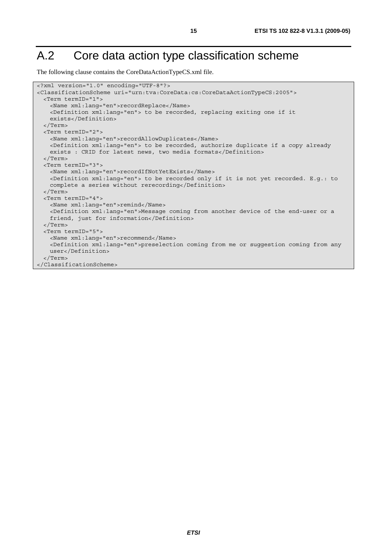# A.2 Core data action type classification scheme

The following clause contains the CoreDataActionTypeCS.xml file.

```
<?xml version="1.0" encoding="UTF-8"?> 
<ClassificationScheme uri="urn:tva:CoreData:cs:CoreDataActionTypeCS:2005"> 
  <Term termID="1"> 
    <Name xml:lang="en">recordReplace</Name> 
    <Definition xml:lang="en"> to be recorded, replacing exiting one if it 
    exists</Definition> 
   </Term> 
  <Term termID="2"> 
    <Name xml:lang="en">recordAllowDuplicates</Name> 
    <Definition xml:lang="en"> to be recorded, authorize duplicate if a copy already 
   exists : CRID for latest news, two media formats</Definition>
  </Term> 
  <Term termID="3"> 
    <Name xml:lang="en">recordIfNotYetExists</Name> 
    <Definition xml:lang="en"> to be recorded only if it is not yet recorded. E.g.: to 
   complete a series without rerecording</Definition>
  </Term> 
  <Term termID="4"> 
    <Name xml:lang="en">remind</Name> 
    <Definition xml:lang="en">Message coming from another device of the end-user or a 
    friend, just for information</Definition> 
  </Term> 
  <Term termID="5"> 
    <Name xml:lang="en">recommend</Name> 
    <Definition xml:lang="en">preselection coming from me or suggestion coming from any 
    user</Definition> 
   </Term> 
</ClassificationScheme>
```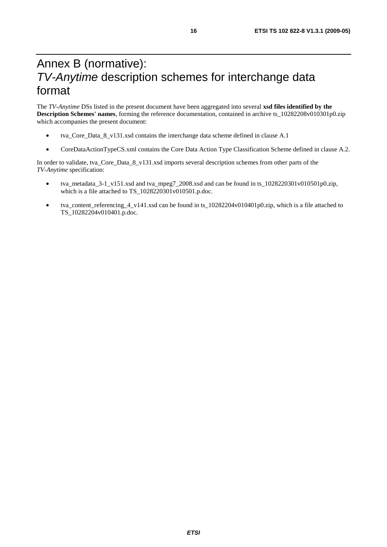# Annex B (normative): *TV-Anytime* description schemes for interchange data format

The *TV-Anytime* DSs listed in the present document have been aggregated into several **xsd files identified by the Description Schemes' names**, forming the reference documentation, contained in archive ts\_10282208v010301p0.zip which accompanies the present document:

- tva\_Core\_Data\_8\_v131.xsd contains the interchange data scheme defined in clause A.1
- CoreDataActionTypeCS.xml contains the Core Data Action Type Classification Scheme defined in clause A.2.

In order to validate, tva\_Core\_Data\_8\_v131.xsd imports several description schemes from other parts of the *TV-Anytime* specification:

- tva\_metadata\_3-1\_v151.xsd and tva\_mpeg7\_2008.xsd and can be found in ts\_1028220301v010501p0.zip, which is a file attached to TS\_1028220301v010501.p.doc.
- tva content referencing 4 v141.xsd can be found in ts  $10282204v010401p0.$ zip, which is a file attached to TS\_10282204v010401.p.doc.